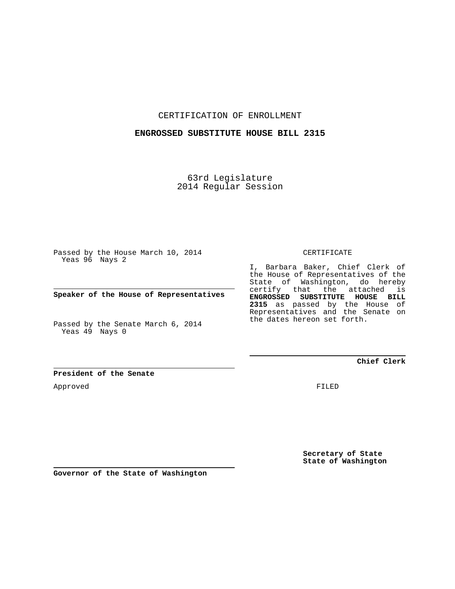CERTIFICATION OF ENROLLMENT

## **ENGROSSED SUBSTITUTE HOUSE BILL 2315**

63rd Legislature 2014 Regular Session

Passed by the House March 10, 2014 Yeas 96 Nays 2

**Speaker of the House of Representatives**

Passed by the Senate March 6, 2014 Yeas 49 Nays 0

**President of the Senate**

Approved

CERTIFICATE

I, Barbara Baker, Chief Clerk of the House of Representatives of the State of Washington, do hereby certify that the attached is **ENGROSSED SUBSTITUTE HOUSE BILL 2315** as passed by the House of Representatives and the Senate on the dates hereon set forth.

**Chief Clerk**

FILED

**Secretary of State State of Washington**

**Governor of the State of Washington**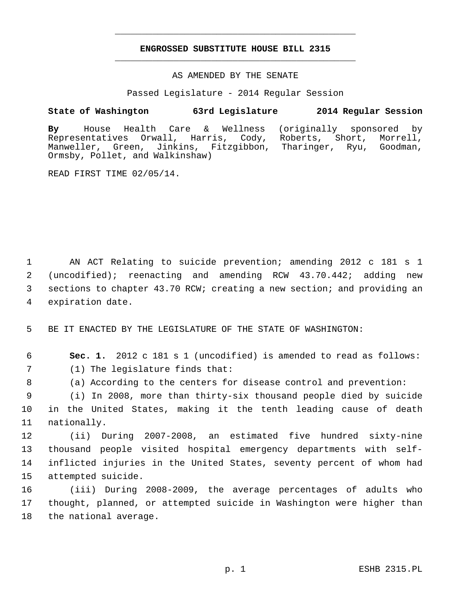## **ENGROSSED SUBSTITUTE HOUSE BILL 2315** \_\_\_\_\_\_\_\_\_\_\_\_\_\_\_\_\_\_\_\_\_\_\_\_\_\_\_\_\_\_\_\_\_\_\_\_\_\_\_\_\_\_\_\_\_

\_\_\_\_\_\_\_\_\_\_\_\_\_\_\_\_\_\_\_\_\_\_\_\_\_\_\_\_\_\_\_\_\_\_\_\_\_\_\_\_\_\_\_\_\_

AS AMENDED BY THE SENATE

Passed Legislature - 2014 Regular Session

## **State of Washington 63rd Legislature 2014 Regular Session**

**By** House Health Care & Wellness (originally sponsored by Representatives Orwall, Harris, Cody, Roberts, Short, Manweller, Green, Jinkins, Fitzgibbon, Tharinger, Ryu, Goodman, Ormsby, Pollet, and Walkinshaw)

READ FIRST TIME 02/05/14.

 1 AN ACT Relating to suicide prevention; amending 2012 c 181 s 1 2 (uncodified); reenacting and amending RCW 43.70.442; adding new 3 sections to chapter 43.70 RCW; creating a new section; and providing an 4 expiration date.

5 BE IT ENACTED BY THE LEGISLATURE OF THE STATE OF WASHINGTON:

6 **Sec. 1.** 2012 c 181 s 1 (uncodified) is amended to read as follows:

7 (1) The legislature finds that:

8 (a) According to the centers for disease control and prevention:

 9 (i) In 2008, more than thirty-six thousand people died by suicide 10 in the United States, making it the tenth leading cause of death 11 nationally.

12 (ii) During 2007-2008, an estimated five hundred sixty-nine 13 thousand people visited hospital emergency departments with self-14 inflicted injuries in the United States, seventy percent of whom had 15 attempted suicide.

16 (iii) During 2008-2009, the average percentages of adults who 17 thought, planned, or attempted suicide in Washington were higher than 18 the national average.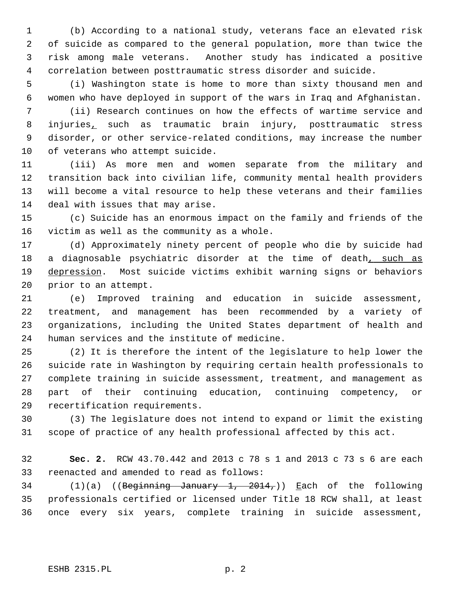1 (b) According to a national study, veterans face an elevated risk 2 of suicide as compared to the general population, more than twice the 3 risk among male veterans. Another study has indicated a positive 4 correlation between posttraumatic stress disorder and suicide.

 5 (i) Washington state is home to more than sixty thousand men and 6 women who have deployed in support of the wars in Iraq and Afghanistan.

 7 (ii) Research continues on how the effects of wartime service and 8 injuries, such as traumatic brain injury, posttraumatic stress 9 disorder, or other service-related conditions, may increase the number 10 of veterans who attempt suicide.

11 (iii) As more men and women separate from the military and 12 transition back into civilian life, community mental health providers 13 will become a vital resource to help these veterans and their families 14 deal with issues that may arise.

15 (c) Suicide has an enormous impact on the family and friends of the 16 victim as well as the community as a whole.

17 (d) Approximately ninety percent of people who die by suicide had 18 a diagnosable psychiatric disorder at the time of death, such as 19 depression. Most suicide victims exhibit warning signs or behaviors 20 prior to an attempt.

21 (e) Improved training and education in suicide assessment, 22 treatment, and management has been recommended by a variety of 23 organizations, including the United States department of health and 24 human services and the institute of medicine.

25 (2) It is therefore the intent of the legislature to help lower the 26 suicide rate in Washington by requiring certain health professionals to 27 complete training in suicide assessment, treatment, and management as 28 part of their continuing education, continuing competency, or 29 recertification requirements.

30 (3) The legislature does not intend to expand or limit the existing 31 scope of practice of any health professional affected by this act.

32 **Sec. 2.** RCW 43.70.442 and 2013 c 78 s 1 and 2013 c 73 s 6 are each 33 reenacted and amended to read as follows:

34 (1)(a) ((Beginning January 1, 2014,)) Each of the following 35 professionals certified or licensed under Title 18 RCW shall, at least 36 once every six years, complete training in suicide assessment,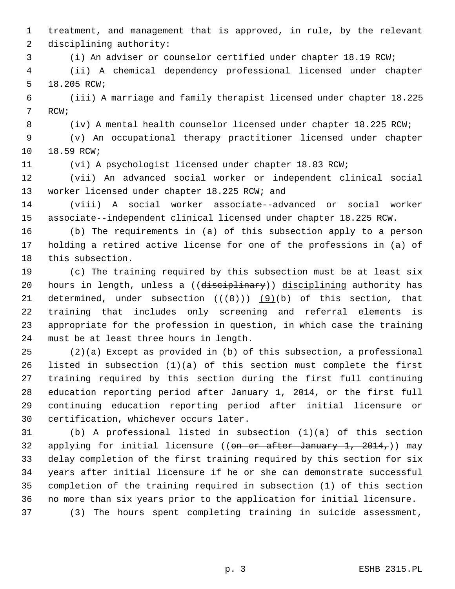1 treatment, and management that is approved, in rule, by the relevant 2 disciplining authority:

3 (i) An adviser or counselor certified under chapter 18.19 RCW;

 4 (ii) A chemical dependency professional licensed under chapter 5 18.205 RCW;

 6 (iii) A marriage and family therapist licensed under chapter 18.225 7 RCW;

8 (iv) A mental health counselor licensed under chapter 18.225 RCW;

 9 (v) An occupational therapy practitioner licensed under chapter 10 18.59 RCW;

11 (vi) A psychologist licensed under chapter 18.83 RCW;

12 (vii) An advanced social worker or independent clinical social 13 worker licensed under chapter 18.225 RCW; and

14 (viii) A social worker associate--advanced or social worker 15 associate--independent clinical licensed under chapter 18.225 RCW.

16 (b) The requirements in (a) of this subsection apply to a person 17 holding a retired active license for one of the professions in (a) of 18 this subsection.

19 (c) The training required by this subsection must be at least six 20 hours in length, unless a ((disciplinary)) disciplining authority has 21 determined, under subsection  $((+8))$   $(9)(b)$  of this section, that 22 training that includes only screening and referral elements is 23 appropriate for the profession in question, in which case the training 24 must be at least three hours in length.

25 (2)(a) Except as provided in (b) of this subsection, a professional 26 listed in subsection (1)(a) of this section must complete the first 27 training required by this section during the first full continuing 28 education reporting period after January 1, 2014, or the first full 29 continuing education reporting period after initial licensure or 30 certification, whichever occurs later.

31 (b) A professional listed in subsection (1)(a) of this section 32 applying for initial licensure ((on or after January 1,  $2014<sub>7</sub>$ )) may 33 delay completion of the first training required by this section for six 34 years after initial licensure if he or she can demonstrate successful 35 completion of the training required in subsection (1) of this section 36 no more than six years prior to the application for initial licensure.

37 (3) The hours spent completing training in suicide assessment,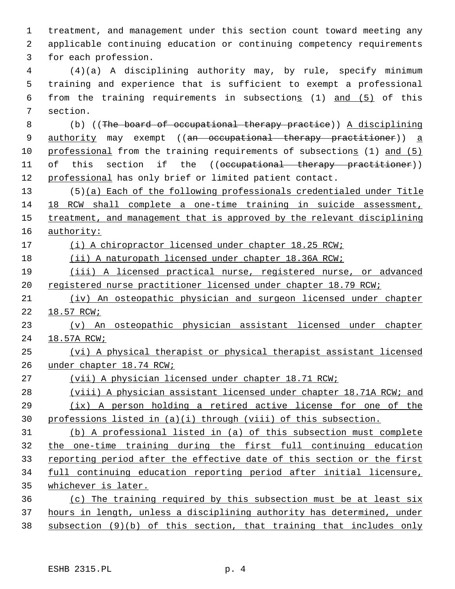1 treatment, and management under this section count toward meeting any 2 applicable continuing education or continuing competency requirements 3 for each profession.

 4 (4)(a) A disciplining authority may, by rule, specify minimum 5 training and experience that is sufficient to exempt a professional 6 from the training requirements in subsections (1) and (5) of this 7 section.

 8 (b) ((The board of occupational therapy practice)) A disciplining 9 authority may exempt ((an occupational therapy practitioner)) a professional from the training requirements of subsections (1) and (5) 11 of this section if the ((occupational therapy practitioner)) professional has only brief or limited patient contact.

13 (5)(a) Each of the following professionals credentialed under Title 18 RCW shall complete a one-time training in suicide assessment, treatment, and management that is approved by the relevant disciplining authority:

(i) A chiropractor licensed under chapter 18.25 RCW;

(ii) A naturopath licensed under chapter 18.36A RCW;

 (iii) A licensed practical nurse, registered nurse, or advanced registered nurse practitioner licensed under chapter 18.79 RCW;

 (iv) An osteopathic physician and surgeon licensed under chapter 18.57 RCW;

 (v) An osteopathic physician assistant licensed under chapter 18.57A RCW;

 (vi) A physical therapist or physical therapist assistant licensed under chapter 18.74 RCW;

(vii) A physician licensed under chapter 18.71 RCW;

 (viii) A physician assistant licensed under chapter 18.71A RCW; and (ix) A person holding a retired active license for one of the professions listed in (a)(i) through (viii) of this subsection.

 (b) A professional listed in (a) of this subsection must complete the one-time training during the first full continuing education reporting period after the effective date of this section or the first full continuing education reporting period after initial licensure, whichever is later.

 (c) The training required by this subsection must be at least six hours in length, unless a disciplining authority has determined, under subsection (9)(b) of this section, that training that includes only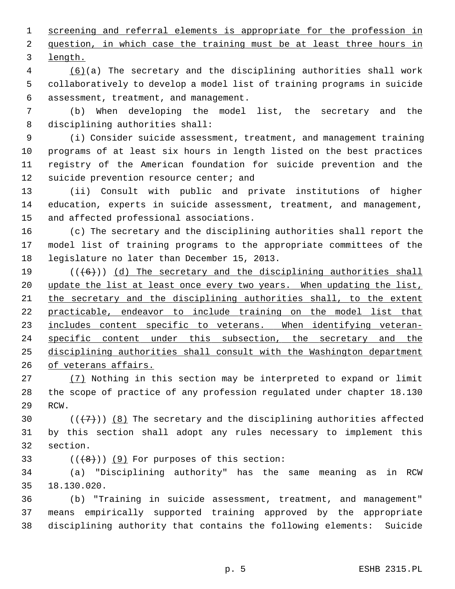1 screening and referral elements is appropriate for the profession in 2 question, in which case the training must be at least three hours in 3 length.

 4 (6)(a) The secretary and the disciplining authorities shall work 5 collaboratively to develop a model list of training programs in suicide 6 assessment, treatment, and management.

 7 (b) When developing the model list, the secretary and the 8 disciplining authorities shall:

 9 (i) Consider suicide assessment, treatment, and management training 10 programs of at least six hours in length listed on the best practices 11 registry of the American foundation for suicide prevention and the 12 suicide prevention resource center; and

13 (ii) Consult with public and private institutions of higher 14 education, experts in suicide assessment, treatment, and management, 15 and affected professional associations.

16 (c) The secretary and the disciplining authorities shall report the 17 model list of training programs to the appropriate committees of the 18 legislature no later than December 15, 2013.

 $((+6))$  (d) The secretary and the disciplining authorities shall 20 update the list at least once every two years. When updating the list, the secretary and the disciplining authorities shall, to the extent practicable, endeavor to include training on the model list that includes content specific to veterans. When identifying veteran- specific content under this subsection, the secretary and the 25 disciplining authorities shall consult with the Washington department of veterans affairs.

27 (7) Nothing in this section may be interpreted to expand or limit 28 the scope of practice of any profession regulated under chapter 18.130 29 RCW.

30  $((+7)^{n})$  (8) The secretary and the disciplining authorities affected 31 by this section shall adopt any rules necessary to implement this 32 section.

33  $((+8+))$  (9) For purposes of this section:

34 (a) "Disciplining authority" has the same meaning as in RCW 35 18.130.020.

36 (b) "Training in suicide assessment, treatment, and management" 37 means empirically supported training approved by the appropriate 38 disciplining authority that contains the following elements: Suicide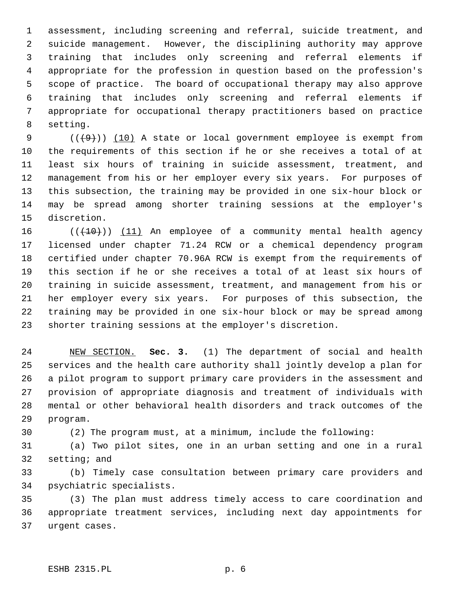1 assessment, including screening and referral, suicide treatment, and 2 suicide management. However, the disciplining authority may approve 3 training that includes only screening and referral elements if 4 appropriate for the profession in question based on the profession's 5 scope of practice. The board of occupational therapy may also approve 6 training that includes only screening and referral elements if 7 appropriate for occupational therapy practitioners based on practice 8 setting.

9  $((+9))$  (10) A state or local government employee is exempt from 10 the requirements of this section if he or she receives a total of at 11 least six hours of training in suicide assessment, treatment, and 12 management from his or her employer every six years. For purposes of 13 this subsection, the training may be provided in one six-hour block or 14 may be spread among shorter training sessions at the employer's 15 discretion.

16  $((+10))$  (11) An employee of a community mental health agency 17 licensed under chapter 71.24 RCW or a chemical dependency program 18 certified under chapter 70.96A RCW is exempt from the requirements of 19 this section if he or she receives a total of at least six hours of 20 training in suicide assessment, treatment, and management from his or 21 her employer every six years. For purposes of this subsection, the 22 training may be provided in one six-hour block or may be spread among 23 shorter training sessions at the employer's discretion.

24 NEW SECTION. **Sec. 3.** (1) The department of social and health 25 services and the health care authority shall jointly develop a plan for 26 a pilot program to support primary care providers in the assessment and 27 provision of appropriate diagnosis and treatment of individuals with 28 mental or other behavioral health disorders and track outcomes of the 29 program.

30 (2) The program must, at a minimum, include the following:

31 (a) Two pilot sites, one in an urban setting and one in a rural 32 setting; and

33 (b) Timely case consultation between primary care providers and 34 psychiatric specialists.

35 (3) The plan must address timely access to care coordination and 36 appropriate treatment services, including next day appointments for 37 urgent cases.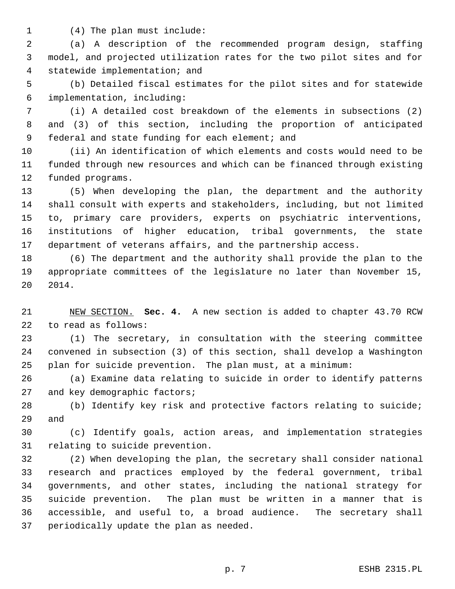1 (4) The plan must include:

 2 (a) A description of the recommended program design, staffing 3 model, and projected utilization rates for the two pilot sites and for 4 statewide implementation; and

 5 (b) Detailed fiscal estimates for the pilot sites and for statewide 6 implementation, including:

 7 (i) A detailed cost breakdown of the elements in subsections (2) 8 and (3) of this section, including the proportion of anticipated 9 federal and state funding for each element; and

10 (ii) An identification of which elements and costs would need to be 11 funded through new resources and which can be financed through existing 12 funded programs.

13 (5) When developing the plan, the department and the authority 14 shall consult with experts and stakeholders, including, but not limited 15 to, primary care providers, experts on psychiatric interventions, 16 institutions of higher education, tribal governments, the state 17 department of veterans affairs, and the partnership access.

18 (6) The department and the authority shall provide the plan to the 19 appropriate committees of the legislature no later than November 15, 20 2014.

21 NEW SECTION. **Sec. 4.** A new section is added to chapter 43.70 RCW 22 to read as follows:

23 (1) The secretary, in consultation with the steering committee 24 convened in subsection (3) of this section, shall develop a Washington 25 plan for suicide prevention. The plan must, at a minimum:

26 (a) Examine data relating to suicide in order to identify patterns 27 and key demographic factors;

28 (b) Identify key risk and protective factors relating to suicide; 29 and

30 (c) Identify goals, action areas, and implementation strategies 31 relating to suicide prevention.

32 (2) When developing the plan, the secretary shall consider national 33 research and practices employed by the federal government, tribal 34 governments, and other states, including the national strategy for 35 suicide prevention. The plan must be written in a manner that is 36 accessible, and useful to, a broad audience. The secretary shall 37 periodically update the plan as needed.